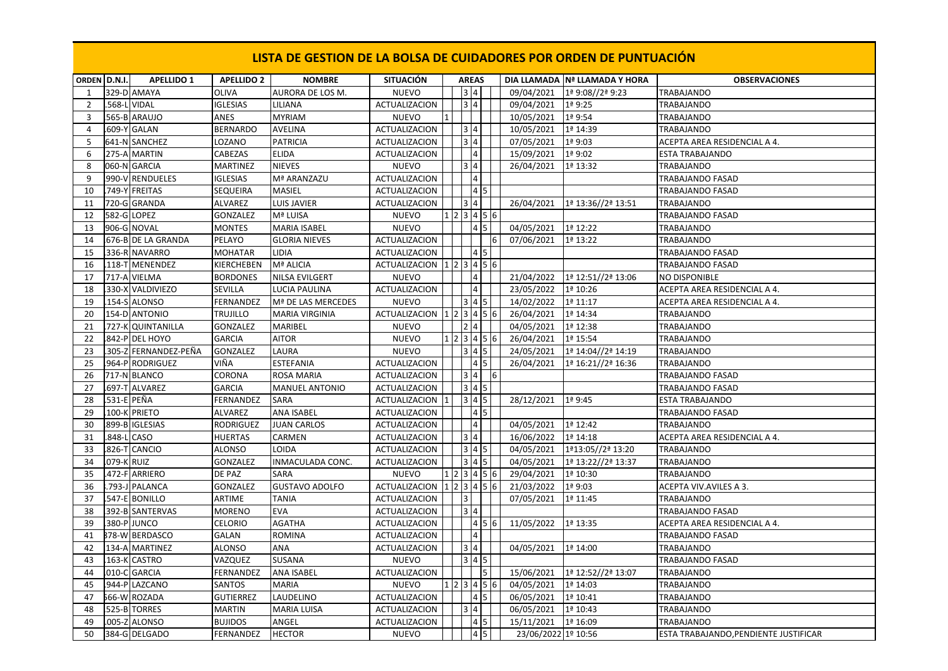| ORDEN D.N.I.   |             | <b>APELLIDO 1</b>     | <b>APELLIDO 2</b> | <b>NOMBRE</b>         | <b>SITUACIÓN</b>                                                                                 |           | <b>AREAS</b>      |                |                     | DIA LLAMADA Nª LLAMADA Y HORA | <b>OBSERVACIONES</b>                  |
|----------------|-------------|-----------------------|-------------------|-----------------------|--------------------------------------------------------------------------------------------------|-----------|-------------------|----------------|---------------------|-------------------------------|---------------------------------------|
| 1              |             | 329-D AMAYA           | OLIVA             | AURORA DE LOS M.      | <b>NUEVO</b>                                                                                     |           | 3 4               |                | 09/04/2021          | 1ª 9:08//2ª 9:23              | TRABAJANDO                            |
| $\overline{2}$ |             | 568-L VIDAL           | <b>IGLESIAS</b>   | LILIANA               | <b>ACTUALIZACION</b>                                                                             |           | 3 4               |                | 09/04/2021          | 1ª 9:25                       | TRABAJANDO                            |
| 3              |             | 565-B ARAUJO          | ANES              | <b>MYRIAM</b>         | <b>NUEVO</b>                                                                                     |           |                   |                | 10/05/2021          | 1ª 9:54                       | TRABAJANDO                            |
| $\overline{4}$ |             | 609-Y GALAN           | <b>BERNARDO</b>   | <b>AVELINA</b>        | <b>ACTUALIZACION</b>                                                                             |           | 3 4               |                | 10/05/2021          | 1ª 14:39                      | TRABAJANDO                            |
| 5              |             | 641-N SANCHEZ         | LOZANO            | <b>PATRICIA</b>       | <b>ACTUALIZACION</b>                                                                             |           | 3 4               |                | 07/05/2021          | 1ª 9:03                       | ACEPTA AREA RESIDENCIAL A 4.          |
| 6              |             | 275-A MARTIN          | CABEZAS           | <b>ELIDA</b>          | ACTUALIZACION                                                                                    |           | $\overline{4}$    |                | 15/09/2021          | 1ª 9:02                       | <b>ESTA TRABAJANDO</b>                |
| 8              |             | 060-N GARCIA          | <b>MARTINEZ</b>   | <b>NIEVES</b>         | <b>NUEVO</b>                                                                                     |           | 3 4               |                | 26/04/2021          | 1ª 13:32                      | TRABAJANDO                            |
| 9              |             | 990-V RENDUELES       | <b>IGLESIAS</b>   | Mª ARANZAZU           | ACTUALIZACION                                                                                    |           | $\overline{4}$    |                |                     |                               | TRABAJANDO FASAD                      |
| 10             |             | 749-Y FREITAS         | SEQUEIRA          | MASIEL                | ACTUALIZACION                                                                                    |           | $\boxed{4}$       |                |                     |                               | TRABAJANDO FASAD                      |
| 11             |             | 720-G GRANDA          | <b>ALVAREZ</b>    | <b>LUIS JAVIER</b>    | <b>ACTUALIZACION</b>                                                                             |           | 3 4               |                | 26/04/2021          | 1ª 13:36//2ª 13:51            | <b>TRABAJANDO</b>                     |
| 12             |             | 582-G LOPEZ           | <b>GONZALEZ</b>   | Mª LUISA              | <b>NUEVO</b>                                                                                     |           |                   | 1 2 3 4 5 6    |                     |                               | TRABAJANDO FASAD                      |
| 13             |             | 906-G NOVAL           | <b>MONTES</b>     | <b>MARIA ISABEL</b>   | <b>NUEVO</b>                                                                                     |           | $4\overline{5}$   |                | 04/05/2021          | 1ª 12:22                      | TRABAJANDO                            |
| 14             |             | 676-B DE LA GRANDA    | PELAYO            | <b>GLORIA NIEVES</b>  | ACTUALIZACION                                                                                    |           |                   | 6              | 07/06/2021          | 1ª 13:22                      | TRABAJANDO                            |
| 15             |             | 336-R NAVARRO         | MOHATAR           | <b>LIDIA</b>          | <b>ACTUALIZACION</b>                                                                             |           | 4 5               |                |                     |                               | TRABAJANDO FASAD                      |
| 16             |             | 118-T MENENDEZ        | KIERCHEBEN        | Mª ALICIA             | ACTUALIZACION $123456$                                                                           |           |                   |                |                     |                               | TRABAJANDO FASAD                      |
| 17             |             | 717-A VIELMA          | <b>BORDONES</b>   | <b>NILSA EVILGERT</b> | <b>NUEVO</b>                                                                                     |           | $\overline{4}$    |                | 21/04/2022          | 1ª 12:51//2ª 13:06            | NO DISPONIBLE                         |
| 18             |             | 330-X VALDIVIEZO      | SEVILLA           | LUCIA PAULINA         | ACTUALIZACION                                                                                    |           | $\overline{4}$    |                | 23/05/2022          | 1ª 10:26                      | ACEPTA AREA RESIDENCIAL A 4.          |
| 19             |             | 154-S ALONSO          | FERNANDEZ         | Mª DE LAS MERCEDES    | <b>NUEVO</b>                                                                                     |           | 3 4 5             |                | 14/02/2022          | 1ª 11:17                      | ACEPTA AREA RESIDENCIAL A 4.          |
| 20             |             | 154-D ANTONIO         | TRUJILLO          | <b>MARIA VIRGINIA</b> | ACTUALIZACION $\left  \frac{1}{2} \right  \left  \frac{3}{4} \right  \left  \frac{5}{6} \right $ |           |                   |                | 26/04/2021          | 1ª 14:34                      | <b>TRABAJANDO</b>                     |
| 21             |             | 727-K QUINTANILLA     | <b>GONZALEZ</b>   | MARIBEL               | <b>NUEVO</b>                                                                                     |           | $\sqrt{2}$   4    |                | 04/05/2021          | 1ª 12:38                      | TRABAJANDO                            |
| 22             |             | 842-P DEL HOYO        | GARCIA            | <b>AITOR</b>          | <b>NUEVO</b>                                                                                     |           |                   | 1 2 3 4 5 6    | 26/04/2021          | 1ª 15:54                      | TRABAJANDO                            |
| 23             |             | .305-Z FERNANDEZ-PEÑA | <b>GONZALEZ</b>   | LAURA                 | <b>NUEVO</b>                                                                                     |           | 3   4   5         |                | 24/05/2021          | 1ª 14:04//2ª 14:19            | TRABAJANDO                            |
| 25             |             | .964-P RODRIGUEZ      | VIÑA              | ESTEFANIA             | ACTUALIZACION                                                                                    |           | 4 5               |                | 26/04/2021          | 1ª 16:21//2ª 16:36            | TRABAJANDO                            |
| 26             |             | 717-N BLANCO          | CORONA            | <b>ROSA MARIA</b>     | <b>ACTUALIZACION</b>                                                                             |           | 3 4               | $\overline{6}$ |                     |                               | TRABAJANDO FASAD                      |
| 27             |             | 697-T ALVAREZ         | <b>GARCIA</b>     | MANUEL ANTONIO        | ACTUALIZACION                                                                                    |           | $3 \mid 4 \mid 5$ |                |                     |                               | TRABAJANDO FASAD                      |
| 28             |             | 531-E PEÑA            | FERNANDEZ         | SARA                  | ACTUALIZACION                                                                                    |           | 3 4 5             |                | 28/12/2021          | 1ª 9:45                       | ESTA TRABAJANDO                       |
| 29             |             | 100-K PRIETO          | <b>ALVAREZ</b>    | <b>ANA ISABEL</b>     | <b>ACTUALIZACION</b>                                                                             |           |                   |                |                     |                               | TRABAJANDO FASAD                      |
| 30             |             | 899-B IGLESIAS        | RODRIGUEZ         | <b>JUAN CARLOS</b>    | ACTUALIZACION                                                                                    |           | $\overline{4}$    |                | 04/05/2021          | 1ª 12:42                      | TRABAJANDO                            |
| 31             |             | .848-L CASO           | HUERTAS           | CARMEN                | ACTUALIZACION                                                                                    |           | 3 4               |                | 16/06/2022          | 1ª 14:18                      | ACEPTA AREA RESIDENCIAL A 4.          |
| 33             |             | 826-T CANCIO          | <b>ALONSO</b>     | LOIDA                 | ACTUALIZACION                                                                                    |           | $345$             |                | 04/05/2021          | 1ª13:05//2ª 13:20             | TRABAJANDO                            |
| 34             | .079-K RUIZ |                       | GONZALEZ          | INMACULADA CONC.      | ACTUALIZACION                                                                                    |           | $3 \mid 4 \mid 5$ |                | 04/05/2021          | 1ª 13:22//2ª 13:37            | TRABAJANDO                            |
| 35             |             | 472-F ARRIERO         | DE PAZ            | SARA                  | <b>NUEVO</b>                                                                                     |           |                   | 1 2 3 4 5 6    | 29/04/2021          | 1ª 10:30                      | TRABAJANDO                            |
| 36             |             | .793-J PALANCA        | <b>GONZALEZ</b>   | <b>GUSTAVO ADOLFO</b> | ACTUALIZACION $\left  \frac{1}{2} \right  \left  \frac{3}{4} \right  \left  \frac{5}{6} \right $ |           |                   |                | 21/03/2022          | 1ª 9:03                       | ACEPTA VIV.AVILES A 3.                |
| 37             |             | 547-E BONILLO         | ARTIME            | <b>TANIA</b>          | <b>ACTUALIZACION</b>                                                                             | $\vert$ 3 |                   |                | 07/05/2021          | 1ª 11:45                      | TRABAJANDO                            |
| 38             |             | 392-B SANTERVAS       | MORENO            | EVA                   | ACTUALIZACION                                                                                    |           | 3 4               |                |                     |                               | TRABAJANDO FASAD                      |
| 39             |             | 380-P JUNCO           | <b>CELORIO</b>    | AGATHA                | <b>ACTUALIZACION</b>                                                                             |           |                   | 456            | 11/05/2022          | 1ª 13:35                      | ACEPTA AREA RESIDENCIAL A 4.          |
| 41             |             | 378-W BERDASCO        | GALAN             | <b>ROMINA</b>         | <b>ACTUALIZACION</b>                                                                             |           | $\vert$ 4         |                |                     |                               | TRABAJANDO FASAD                      |
| 42             |             | 134-A MARTINEZ        | <b>ALONSO</b>     | ANA                   | ACTUALIZACION                                                                                    |           | 3 4               |                | 04/05/2021          | 1ª 14:00                      | TRABAJANDO                            |
| 43             |             | 163-K CASTRO          | VAZQUEZ           | SUSANA                | <b>NUEVO</b>                                                                                     |           | $3  4  5$         |                |                     |                               | TRABAJANDO FASAD                      |
| 44             |             | 010-C GARCIA          | FERNANDEZ         | ANA ISABEL            | ACTUALIZACION                                                                                    |           |                   | 5              | 15/06/2021          | 1ª 12:52//2ª 13:07            | TRABAJANDO                            |
| 45             |             | 944-PLAZCANO          | SANTOS            | MARIA                 | <b>NUEVO</b>                                                                                     |           |                   | 1 2 3 4 5 6    | 04/05/2021          | 1ª 14:03                      | TRABAJANDO                            |
| 47             |             | 566-W ROZADA          | GUTIERREZ         | LAUDELINO             | ACTUALIZACION                                                                                    |           |                   |                | 06/05/2021          | 1ª 10:41                      | TRABAJANDO                            |
| 48             |             | 525-B TORRES          | <b>MARTIN</b>     | MARIA LUISA           | <b>ACTUALIZACION</b>                                                                             |           | 3 4               |                | 06/05/2021          | 1ª 10:43                      | TRABAJANDO                            |
| 49             |             | .005-Z ALONSO         | <b>BUJIDOS</b>    | ANGEL                 | <b>ACTUALIZACION</b>                                                                             |           | 4 5               |                | 15/11/2021          | 1ª 16:09                      | TRABAJANDO                            |
| 50             |             | 384-G DELGADO         | FERNANDEZ         | <b>HECTOR</b>         | NUEVO                                                                                            |           | 4 5               |                | 23/06/2022 1º 10:56 |                               | ESTA TRABAJANDO, PENDIENTE JUSTIFICAR |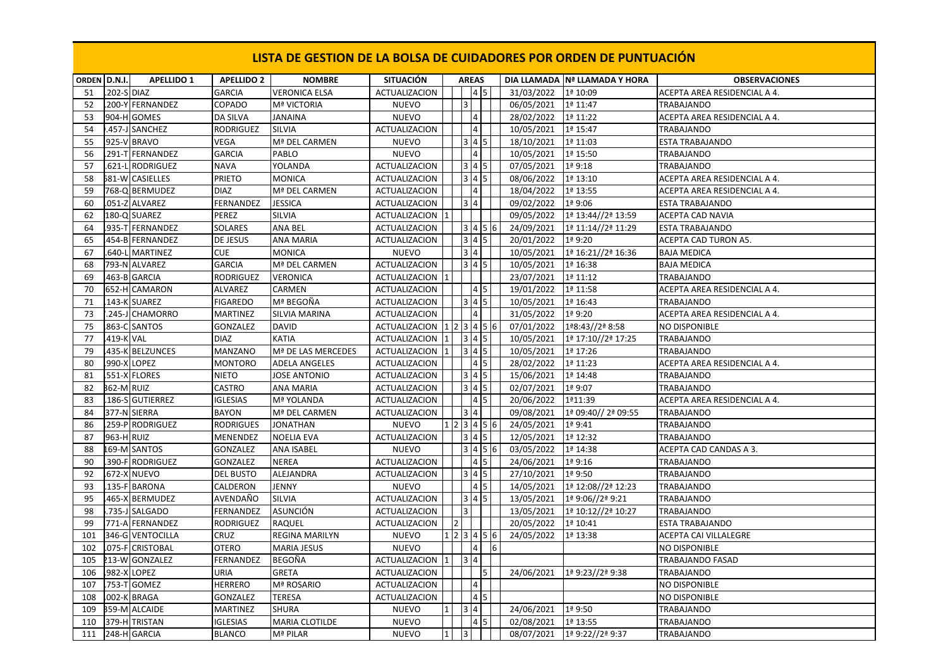| ORDEN D.N.I. |                   | <b>APELLIDO 1</b>      | <b>APELLIDO 2</b> | <b>NOMBRE</b>         | <b>SITUACIÓN</b>     |              |                         | <b>AREAS</b>                 |            |            | DIA LLAMADA Nª LLAMADA Y HORA | <b>OBSERVACIONES</b>         |
|--------------|-------------------|------------------------|-------------------|-----------------------|----------------------|--------------|-------------------------|------------------------------|------------|------------|-------------------------------|------------------------------|
| 51           | 202-S DIAZ        |                        | <b>GARCIA</b>     | <b>VERONICA ELSA</b>  | <b>ACTUALIZACION</b> |              | $\overline{\mathbf{3}}$ | 4 <sub>5</sub>               |            | 31/03/2022 | 1ª 10:09                      | ACEPTA AREA RESIDENCIAL A 4. |
| 52           |                   | .200-Y FERNANDEZ       | COPADO            | Mª VICTORIA           | <b>NUEVO</b>         |              |                         | 4                            |            | 06/05/2021 | 1ª 11:47<br>1ª 11:22          | TRABAJANDO                   |
| 53           |                   | 904-H GOMES            | <b>DA SILVA</b>   | <b>JANAINA</b>        | <b>NUEVO</b>         |              |                         | $\vert$ 4                    |            | 28/02/2022 |                               | ACEPTA AREA RESIDENCIAL A 4. |
| 54           |                   | 457-J SANCHEZ          | <b>RODRIGUEZ</b>  | <b>SILVIA</b>         | <b>ACTUALIZACION</b> |              |                         |                              |            | 10/05/2021 | 1ª 15:47                      | <b>TRABAJANDO</b>            |
| 55           |                   | 925-V BRAVO            | VEGA              | Mª DEL CARMEN         | <b>NUEVO</b>         |              |                         | $3 4 5$                      |            | 18/10/2021 | 1ª 11:03                      | <b>ESTA TRABAJANDO</b>       |
| 56           |                   | 291-T FERNANDEZ        | <b>GARCIA</b>     | PABLO                 | <b>NUEVO</b>         |              |                         | $\overline{4}$               |            | 10/05/2021 | 1ª 15:50                      | TRABAJANDO                   |
| 57           |                   | 621-L RODRIGUEZ        | <b>NAVA</b>       | YOLANDA               | ACTUALIZACION        |              |                         | $3 4 5$                      |            | 07/05/2021 | 1ª 9:18                       | TRABAJANDO                   |
| 58           |                   | <b>581-W CASIELLES</b> | <b>PRIETO</b>     | <b>MONICA</b>         | <b>ACTUALIZACION</b> |              |                         | 3 4 5                        |            | 08/06/2022 | 1ª 13:10                      | ACEPTA AREA RESIDENCIAL A 4. |
| 59           |                   | 768-Q BERMUDEZ         | <b>DIAZ</b>       | Mª DEL CARMEN         | ACTUALIZACION        |              |                         | $\vert$ 4                    |            | 18/04/2022 | 1ª 13:55                      | ACEPTA AREA RESIDENCIAL A 4. |
| 60           |                   | .051-Z ALVAREZ         | FERNANDEZ         | <b>JESSICA</b>        | <b>ACTUALIZACION</b> |              |                         | 3 4                          |            | 09/02/2022 | 1ª 9:06                       | <b>ESTA TRABAJANDO</b>       |
| 62           |                   | 180-Q SUAREZ           | PEREZ             | SILVIA                | ACTUALIZACION        |              |                         |                              |            | 09/05/2022 | 1ª 13:44//2ª 13:59            | <b>ACEPTA CAD NAVIA</b>      |
| 64           |                   | .935-T FERNANDEZ       | SOLARES           | ANA BEL               | ACTUALIZACION        |              |                         | 3   4   5   6                |            | 24/09/2021 | 1ª 11:14//2ª 11:29            | <b>ESTA TRABAJANDO</b>       |
| 65           |                   | 454-B FERNANDEZ        | DE JESUS          | <b>ANA MARIA</b>      | <b>ACTUALIZACION</b> |              |                         | $345$                        |            | 20/01/2022 | 1ª 9:20                       | <b>ACEPTA CAD TURON A5.</b>  |
| 67           |                   | 640-L MARTINEZ         | <b>CUE</b>        | <b>MONICA</b>         | <b>NUEVO</b>         |              |                         | 3 4                          |            | 10/05/2021 | 1ª 16:21//2ª 16:36            | <b>BAJA MEDICA</b>           |
| 68           |                   | 793-N ALVAREZ          | <b>GARCIA</b>     | Mª DEL CARMEN         | <b>ACTUALIZACION</b> |              |                         | $3 4 5$                      |            | 10/05/2021 | 1ª 16:38                      | <b>BAJA MEDICA</b>           |
| 69           |                   | 463-B GARCIA           | RODRIGUEZ         | <b>VERONICA</b>       | ACTUALIZACION        |              |                         |                              |            | 23/07/2021 | 1ª 11:12                      | TRABAJANDO                   |
| 70           |                   | 652-H CAMARON          | ALVAREZ           | CARMEN                | <b>ACTUALIZACION</b> |              |                         | 4 5                          |            | 19/01/2022 | 1ª 11:58                      | ACEPTA AREA RESIDENCIAL A 4. |
| 71           |                   | 143-K SUAREZ           | <b>FIGAREDO</b>   | Mª BEGOÑA             | ACTUALIZACION        |              |                         | 3 4 5                        |            | 10/05/2021 | 1ª 16:43                      | TRABAJANDO                   |
| 73           |                   | .245-J CHAMORRO        | <b>MARTINEZ</b>   | <b>SILVIA MARINA</b>  | <b>ACTUALIZACION</b> |              |                         | $\vert$ 4                    |            | 31/05/2022 | 1ª 9:20                       | ACEPTA AREA RESIDENCIAL A 4. |
| 75           |                   | 863-C SANTOS           | <b>GONZALEZ</b>   | <b>DAVID</b>          | ACTUALIZACION        |              |                         | 123456                       |            | 07/01/2022 | 1ª8:43//2ª 8:58               | <b>NO DISPONIBLE</b>         |
| 77           | <b>419-K VAL</b>  |                        | <b>DIAZ</b>       | KATIA                 | <b>ACTUALIZACION</b> | 1            |                         | $3 \mid 4 \mid 5$            |            | 10/05/2021 | 1ª 17:10//2ª 17:25            | <b>TRABAJANDO</b>            |
| 79           |                   | 435-K BELZUNCES        | MANZANO           | Mª DE LAS MERCEDES    | ACTUALIZACION        | 1            |                         | $3 \mid 4 \mid 5$            |            | 10/05/2021 | 1ª 17:26                      | TRABAJANDO                   |
| 80           |                   | 990-X LOPEZ            | <b>MONTORO</b>    | <b>ADELA ANGELES</b>  | ACTUALIZACION        |              |                         | 45                           |            | 28/02/2022 | 1ª 11:23                      | ACEPTA AREA RESIDENCIAL A 4. |
| 81           |                   | 551-X FLORES           | <b>NIETO</b>      | <b>JOSE ANTONIO</b>   | <b>ACTUALIZACION</b> |              |                         | $3\overline{)4\overline{)5}$ |            | 15/06/2021 | 1ª 14:48                      | TRABAJANDO                   |
| 82           | <b>362-M RUIZ</b> |                        | CASTRO            | ANA MARIA             | ACTUALIZACION        |              |                         | $3 \mid 4 \mid 5$            |            | 02/07/2021 | 1ª 9:07                       | TRABAJANDO                   |
| 83           |                   | 186-S GUTIERREZ        | <b>IGLESIAS</b>   | Mª YOLANDA            | <b>ACTUALIZACION</b> |              |                         | 45                           |            | 20/06/2022 | 1ª11:39                       | ACEPTA AREA RESIDENCIAL A 4. |
| 84           |                   | 377-N SIERRA           | <b>BAYON</b>      | Mª DEL CARMEN         | ACTUALIZACION        |              |                         | $3\overline{4}$              |            | 09/08/2021 | 1ª 09:40// 2ª 09:55           | <b>TRABAJANDO</b>            |
| 86           |                   | 259-P RODRIGUEZ        | <b>RODRIGUES</b>  | <b>JONATHAN</b>       | <b>NUEVO</b>         |              |                         | 1 2 3 4 5 6                  |            | 24/05/2021 | 1ª 9:41                       | <b>TRABAJANDO</b>            |
| 87           | 963-H RUIZ        |                        | MENENDEZ          | <b>NOELIA EVA</b>     | <b>ACTUALIZACION</b> |              |                         | $3 4 5$                      |            | 12/05/2021 | 1ª 12:32                      | <b>TRABAJANDO</b>            |
| 88           |                   | <b>L69-M SANTOS</b>    | GONZALEZ          | <b>ANA ISABEL</b>     | <b>NUEVO</b>         |              |                         | 3   4   5   6                |            | 03/05/2022 | 1ª 14:38                      | ACEPTA CAD CANDAS A 3.       |
| 90           |                   | 390-F RODRIGUEZ        | <b>GONZALEZ</b>   | <b>NEREA</b>          | ACTUALIZACION        |              |                         | 45                           |            | 24/06/2021 | 1ª 9:16                       | TRABAJANDO                   |
| 92           |                   | .672-X NUEVO           | <b>DEL BUSTO</b>  | ALEJANDRA             | ACTUALIZACION        |              |                         | $3 4 5$                      |            | 27/10/2021 | 1ª 9:50                       | <b>TRABAJANDO</b>            |
| 93           |                   | .135-F BARONA          | CALDERON          | <b>JENNY</b>          | <b>NUEVO</b>         |              |                         |                              |            | 14/05/2021 | 1ª 12:08//2ª 12:23            | <b>TRABAJANDO</b>            |
| 95           |                   | .465-X BERMUDEZ        | AVENDAÑO          | SILVIA                | <b>ACTUALIZACION</b> |              |                         | 3 4 5                        |            | 13/05/2021 | 1ª 9:06//2ª 9:21              | TRABAJANDO                   |
| 98           |                   | 735-J SALGADO          | FERNANDEZ         | ASUNCIÓN              | <b>ACTUALIZACION</b> |              | 3                       |                              |            | 13/05/2021 | 1ª 10:12//2ª 10:27            | TRABAJANDO                   |
| 99           |                   | 771-A FERNANDEZ        | RODRIGUEZ         | <b>RAQUEL</b>         | ACTUALIZACION        |              |                         |                              |            | 20/05/2022 | 1ª 10:41                      | <b>ESTA TRABAJANDO</b>       |
| 101          |                   | 346-G VENTOCILLA       | CRUZ              | <b>REGINA MARILYN</b> | <b>NUEVO</b>         |              |                         | 1 2 3 4 5 6                  |            | 24/05/2022 | 1ª 13:38                      | ACEPTA CAI VILLALEGRE        |
| 102          |                   | .075-F CRISTOBAL       | <b>OTERO</b>      | <b>MARIA JESUS</b>    | <b>NUEVO</b>         |              |                         | $\overline{4}$               | $\sqrt{6}$ |            |                               | <b>NO DISPONIBLE</b>         |
| 105          |                   | 213-W GONZALEZ         | FERNANDEZ         | <b>BEGOÑA</b>         | ACTUALIZACION        | $\mathbf 1$  |                         | 3 4                          |            |            |                               | TRABAJANDO FASAD             |
| 106          |                   | 982-X LOPEZ            | URIA              | GRETA                 | ACTUALIZACION        |              |                         | 5                            |            | 24/06/2021 | 1ª 9:23//2ª 9:38              | TRABAJANDO                   |
| 107          |                   | .753-T GOMEZ           | <b>HERRERO</b>    | Mª ROSARIO            | <b>ACTUALIZACION</b> |              |                         | 4                            |            |            |                               | <b>NO DISPONIBLE</b>         |
| 108          |                   | .002-K BRAGA           | GONZALEZ          | <b>TERESA</b>         | <b>ACTUALIZACION</b> |              |                         | $\sqrt{4}$<br>5              |            |            |                               | <b>NO DISPONIBLE</b>         |
| 109          |                   | 359-M ALCAIDE          | <b>MARTINEZ</b>   | <b>SHURA</b>          | <b>NUEVO</b>         | $\mathbf{1}$ |                         | 3 4                          |            | 24/06/2021 | 1ª 9:50                       | <b>TRABAJANDO</b>            |
| 110          |                   | 379-H TRISTAN          | <b>IGLESIAS</b>   | <b>MARIA CLOTILDE</b> | <b>NUEVO</b>         |              |                         | 4 5                          |            | 02/08/2021 | 1ª 13:55                      | TRABAJANDO                   |
| 111          |                   | 248-H GARCIA           | <b>BLANCO</b>     | Mª PILAR              | <b>NUEVO</b>         | $1\vert$     | $\overline{\mathbf{3}}$ |                              |            |            | 08/07/2021 1ª 9:22//2ª 9:37   | TRABAJANDO                   |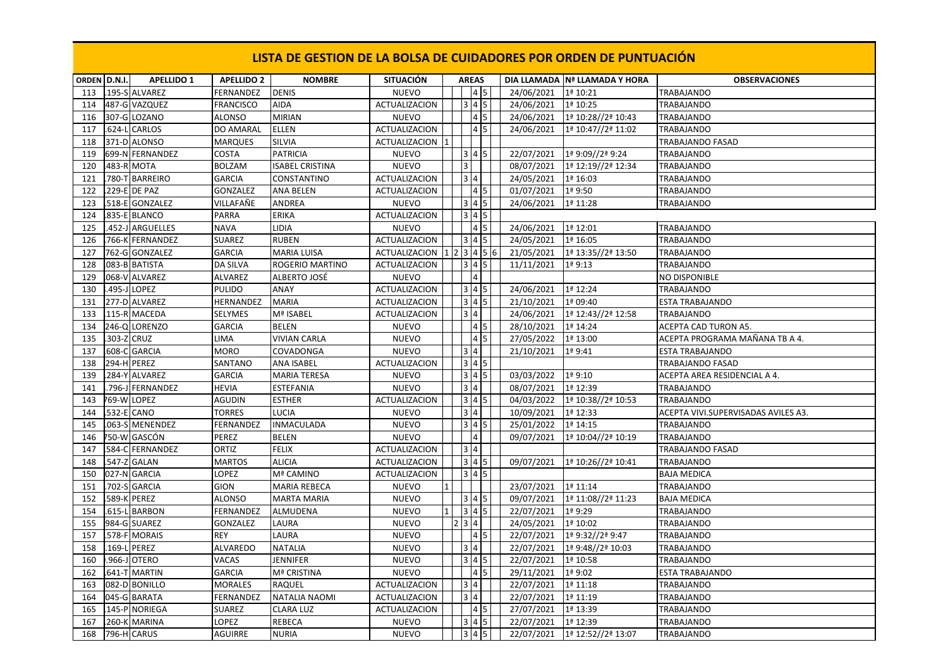| ORDEN D.N.I. |            | <b>APELLIDO 1</b> | <b>APELLIDO 2</b> | <b>NOMBRE</b>          | <b>SITUACIÓN</b>                                                                                 | <b>AREAS</b>    |                                                        |                         | DIA LLAMADA Nª LLAMADA Y HORA | <b>OBSERVACIONES</b>                |
|--------------|------------|-------------------|-------------------|------------------------|--------------------------------------------------------------------------------------------------|-----------------|--------------------------------------------------------|-------------------------|-------------------------------|-------------------------------------|
| 113          |            | .195-S ALVAREZ    | FERNANDEZ         | <b>DENIS</b>           | <b>NUEVO</b>                                                                                     |                 |                                                        | 24/06/2021              | 1ª 10:21                      | TRABAJANDO                          |
| 114          |            | 487-G VAZQUEZ     | <b>FRANCISCO</b>  | <b>AIDA</b>            | <b>ACTUALIZACION</b>                                                                             |                 | 3 4 5                                                  | 24/06/2021              | 1ª 10:25                      | <b>TRABAJANDO</b>                   |
| 116          |            | 307-G LOZANO      | <b>ALONSO</b>     | <b>MIRIAN</b>          | <b>NUEVO</b>                                                                                     |                 | $4\overline{5}$                                        | 24/06/2021              | 1ª 10:28//2ª 10:43            | <b>TRABAJANDO</b>                   |
| 117          |            | .624-L CARLOS     | DO AMARAL         | <b>ELLEN</b>           | <b>ACTUALIZACION</b>                                                                             |                 | 45                                                     | 24/06/2021              | 1ª 10:47//2ª 11:02            | <b>TRABAJANDO</b>                   |
| 118          |            | 371-D ALONSO      | <b>MARQUES</b>    | SILVIA                 | ACTUALIZACION                                                                                    |                 |                                                        |                         |                               | TRABAJANDO FASAD                    |
| 119          |            | 699-N FERNANDEZ   | COSTA             | <b>PATRICIA</b>        | <b>NUEVO</b>                                                                                     |                 | 3 4 5                                                  | 22/07/2021              | 1ª 9:09//2ª 9:24              | TRABAJANDO                          |
| 120          |            | 483-R MOTA        | <b>BOLZAM</b>     | <b>ISABEL CRISTINA</b> | <b>NUEVO</b>                                                                                     | lз.             |                                                        | 08/07/2021              | 1ª 12:19//2ª 12:34            | TRABAJANDO                          |
| 121          |            | 780-T BARREIRO    | <b>GARCIA</b>     | CONSTANTINO            | <b>ACTUALIZACION</b>                                                                             | $3\overline{4}$ |                                                        | 24/05/2021              | 1ª 16:03                      | TRABAJANDO                          |
| 122          |            | 229-E DE PAZ      | <b>GONZALEZ</b>   | ANA BELEN              | <b>ACTUALIZACION</b>                                                                             |                 |                                                        | 01/07/2021              | 1ª 9:50                       | TRABAJANDO                          |
| 123          |            | .518-E GONZALEZ   | VILLAFAÑE         | ANDREA                 | <b>NUEVO</b>                                                                                     |                 | $3 4 5$                                                | 24/06/2021              | 1ª 11:28                      | TRABAJANDO                          |
| 124          |            | .835-E BLANCO     | PARRA             | <b>ERIKA</b>           | ACTUALIZACION                                                                                    |                 | $345$                                                  |                         |                               |                                     |
| 125          |            | .452-J ARGUELLES  | <b>NAVA</b>       | LIDIA                  | <b>NUEVO</b>                                                                                     |                 | $4\overline{5}$                                        | 24/06/2021              | 1ª 12:01                      | <b>TRABAJANDO</b>                   |
| 126          |            | 766-K FERNANDEZ   | <b>SUAREZ</b>     | <b>RUBEN</b>           | <b>ACTUALIZACION</b>                                                                             |                 | $3 4 5$                                                | 24/05/2021              | 1ª 16:05                      | <b>TRABAJANDO</b>                   |
| 127          |            | 762-G GONZALEZ    | <b>GARCIA</b>     | <b>MARIA LUISA</b>     | ACTUALIZACION $\left  \frac{1}{2} \right  \left  \frac{3}{4} \right  \left  \frac{5}{6} \right $ |                 |                                                        | 21/05/2021              | 1ª 13:35//2ª 13:50            | TRABAJANDO                          |
| 128          |            | .083-B BATISTA    | DA SILVA          | ROGERIO MARTINO        | <b>ACTUALIZACION</b>                                                                             |                 | $3 4 5$                                                | 11/11/2021              | 1ª 9:13                       | TRABAJANDO                          |
| 129          |            | 068-V ALVAREZ     | ALVAREZ           | ALBERTO JOSÉ           | <b>NUEVO</b>                                                                                     |                 | $\overline{4}$                                         |                         |                               | NO DISPONIBLE                       |
| 130          |            | 495-J LOPEZ       | <b>PULIDO</b>     | ANAY                   | <b>ACTUALIZACION</b>                                                                             |                 | $345$                                                  | 24/06/2021              | 1ª 12:24                      | <b>TRABAJANDO</b>                   |
| 131          |            | 277-D ALVAREZ     | HERNANDEZ         | <b>MARIA</b>           | <b>ACTUALIZACION</b>                                                                             |                 | $3   4   5$                                            | 21/10/2021              | 1ª 09:40                      | ESTA TRABAJANDO                     |
| 133          |            | 115-R MACEDA      | SELYMES           | Mª ISABEL              | <b>ACTUALIZACION</b>                                                                             |                 | 3 4                                                    | 24/06/2021              | 1ª 12:43//2ª 12:58            | <b>TRABAJANDO</b>                   |
| 134          |            | 246-Q LORENZO     | <b>GARCIA</b>     | <b>BELEN</b>           | <b>NUEVO</b>                                                                                     |                 | 45                                                     | 28/10/2021              | 1ª 14:24                      | ACEPTA CAD TURON A5.                |
| 135          | 303-Z CRUZ |                   | <b>LIMA</b>       | <b>VIVIAN CARLA</b>    | <b>NUEVO</b>                                                                                     |                 | $4\overline{5}$                                        | 27/05/2022              | 1ª 13:00                      | ACEPTA PROGRAMA MAÑANA TB A 4.      |
| 137          |            | 608-C GARCIA      | <b>MORO</b>       | COVADONGA              | <b>NUEVO</b>                                                                                     |                 | 3 4                                                    | 21/10/2021              | 1ª 9:41                       | <b>ESTA TRABAJANDO</b>              |
| 138          |            | 294-H PEREZ       | SANTANO           | ANA ISABEL             | ACTUALIZACION                                                                                    |                 | $3 \mid 4 \mid 5$                                      |                         |                               | TRABAJANDO FASAD                    |
| 139          |            | .284-Y ALVAREZ    | <b>GARCIA</b>     | <b>MARIA TERESA</b>    | <b>NUEVO</b>                                                                                     |                 | $345$                                                  | 03/03/2022              | 1ª 9:10                       | ACEPTA AREA RESIDENCIAL A 4.        |
| 141          |            | .796-J FERNANDEZ  | <b>HEVIA</b>      | ESTEFANIA              | <b>NUEVO</b>                                                                                     | 3 4             |                                                        | 08/07/2021              | 1ª 12:39                      | <b>TRABAJANDO</b>                   |
| 143          |            | 769-W LOPEZ       | <b>AGUDIN</b>     | <b>ESTHER</b>          | <b>ACTUALIZACION</b>                                                                             |                 | $345$                                                  | 04/03/2022              | 1ª 10:38//2ª 10:53            | <b>TRABAJANDO</b>                   |
| 144          |            | 532-E CANO        | <b>TORRES</b>     | LUCIA                  | <b>NUEVO</b>                                                                                     | 3 4             |                                                        | 10/09/2021              | 1ª 12:33                      | ACEPTA VIVI.SUPERVISADAS AVILES A3. |
| 145          |            | .063-S MENENDEZ   | <b>FERNANDEZ</b>  | <b>INMACULADA</b>      | <b>NUEVO</b>                                                                                     |                 | $3 \mid 4 \mid 5$                                      | 25/01/2022              | 1ª 14:15                      | TRABAJANDO                          |
| 146          |            | 750-W GASCÓN      | PEREZ             | <b>BELEN</b>           | <b>NUEVO</b>                                                                                     |                 | $\overline{4}$                                         | 09/07/2021              | 1ª 10:04//2ª 10:19            | TRABAJANDO                          |
| 147          |            | .584-C FERNANDEZ  | ORTIZ             | <b>FELIX</b>           | ACTUALIZACION                                                                                    | 3 4             |                                                        |                         |                               | TRABAJANDO FASAD                    |
| 148          |            | 547-Z GALAN       | <b>MARTOS</b>     | <b>ALICIA</b>          | <b>ACTUALIZACION</b>                                                                             |                 | $\begin{array}{ c c }\n\hline\n3 & 4 & 5\n\end{array}$ | 09/07/2021              | 1ª 10:26//2ª 10:41            | TRABAJANDO                          |
| 150          |            | 027-N GARCIA      | LOPEZ             | Mª CAMINO              | ACTUALIZACION                                                                                    |                 | $3 4 5$                                                |                         |                               | <b>BAJA MEDICA</b>                  |
| 151          |            | 702-S GARCIA      | <b>GION</b>       | <b>MARIA REBECA</b>    | <b>NUEVO</b>                                                                                     |                 |                                                        | 23/07/2021              | 1ª 11:14                      | TRABAJANDO                          |
| 152          |            | 589-K PEREZ       | <b>ALONSO</b>     | <b>MARTA MARIA</b>     | <b>NUEVO</b>                                                                                     |                 | $\boxed{3 \mid 4 \mid 5}$                              | 09/07/2021              | 1ª 11:08//2ª 11:23            | <b>BAJA MEDICA</b>                  |
| 154          |            | .615-L BARBON     | <b>FERNANDEZ</b>  | ALMUDENA               | <b>NUEVO</b>                                                                                     |                 | $3 \mid 4 \mid 5$                                      | 22/07/2021              | 1ª 9:29                       | TRABAJANDO                          |
| 155          |            | 984-G SUAREZ      | GONZALEZ          | LAURA                  | <b>NUEVO</b>                                                                                     | 2 3 4           |                                                        | 24/05/2021              | 1ª 10:02                      | TRABAJANDO                          |
| 157          |            | 578-F MORAIS      | REY               | LAURA                  | <b>NUEVO</b>                                                                                     |                 | $4\overline{5}$                                        | 22/07/2021              | 1ª 9:32//2ª 9:47              | TRABAJANDO                          |
| 158          | $.169 - L$ | PEREZ             | ALVAREDO          | <b>NATALIA</b>         | <b>NUEVO</b>                                                                                     | 3 4             |                                                        | 22/07/2021              | 1ª 9:48//2ª 10:03             | TRABAJANDO                          |
| 160          |            | .966-J OTERO      | VACAS             | JENNIFER               | <b>NUEVO</b>                                                                                     |                 | $345$                                                  | 22/07/2021              | 1ª 10:58                      | TRABAJANDO                          |
| 162          | $.641 - T$ | <b>MARTIN</b>     | <b>GARCIA</b>     | Mª CRISTINA            | <b>NUEVO</b>                                                                                     |                 | 4 5                                                    | 29/11/2021              | 1ª 9:02                       | ESTA TRABAJANDO                     |
| 163          |            | 082-D BONILLO     | <b>MORALES</b>    | <b>RAQUEL</b>          | <b>ACTUALIZACION</b>                                                                             |                 | 3 4                                                    | $\overline{22}/07/2021$ | 1ª 11:18                      | TRABAJANDO                          |
| 164          |            | 045-G BARATA      | FERNANDEZ         | NATALIA NAOMI          | ACTUALIZACION                                                                                    | 3 4             |                                                        | 22/07/2021              | 1ª 11:19                      | TRABAJANDO                          |
| 165          |            | 145-P NORIEGA     | <b>SUAREZ</b>     | <b>CLARA LUZ</b>       | ACTUALIZACION                                                                                    |                 | 45                                                     | 27/07/2021              | 1ª 13:39                      | TRABAJANDO                          |
| 167          |            | 260-K MARINA      | LOPEZ             | REBECA                 | <b>NUEVO</b>                                                                                     |                 | $3 \mid 4 \mid 5$                                      | 22/07/2021              | 1ª 12:39                      | TRABAJANDO                          |
| 168          |            | 796-H CARUS       | AGUIRRE           | <b>NURIA</b>           | <b>NUEVO</b>                                                                                     |                 | $3 \mid 4 \mid 5$                                      | 22/07/2021              | 1ª 12:52//2ª 13:07            | TRABAJANDO                          |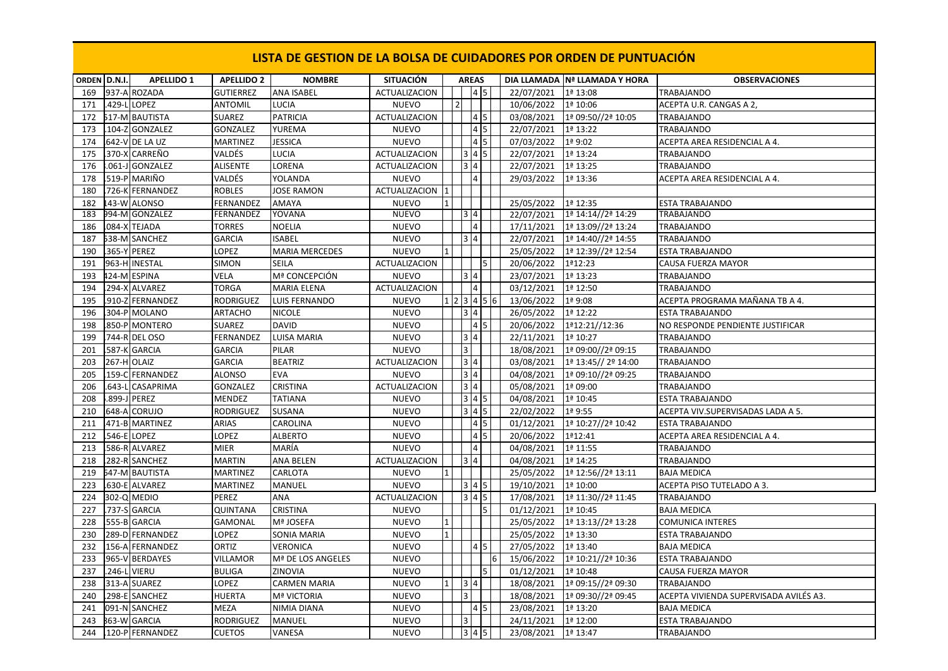| ORDEN D.N.I. |             | <b>APELLIDO 1</b>     | <b>APELLIDO 2</b> | <b>NOMBRE</b>         | <b>SITUACIÓN</b>     | <b>AREAS</b>             |                         |    |            | DIA LLAMADA Nª LLAMADA Y HORA | <b>OBSERVACIONES</b>                   |
|--------------|-------------|-----------------------|-------------------|-----------------------|----------------------|--------------------------|-------------------------|----|------------|-------------------------------|----------------------------------------|
| 169          |             | 937-A ROZADA          | <b>GUTIERREZ</b>  | <b>ANA ISABEL</b>     | <b>ACTUALIZACION</b> |                          | 4 5                     |    | 22/07/2021 | 1ª 13:08                      | <b>TRABAJANDO</b>                      |
| 171          |             | 429-L LOPEZ           | <b>ANTOMIL</b>    | LUCIA                 | <b>NUEVO</b>         | $\overline{\mathcal{L}}$ |                         |    | 10/06/2022 | 1ª 10:06                      | ACEPTA U.R. CANGAS A 2,                |
| 172          |             | 517-M BAUTISTA        | <b>SUAREZ</b>     | <b>PATRICIA</b>       | <b>ACTUALIZACION</b> |                          | 4 5                     |    | 03/08/2021 | 1ª 09:50//2ª 10:05            | TRABAJANDO                             |
| 173          |             | 104-Z GONZALEZ        | GONZALEZ          | YUREMA                | <b>NUEVO</b>         |                          | $4 \overline{5}$        |    | 22/07/2021 | 1ª 13:22                      | TRABAJANDO                             |
| 174          |             | 642-V DE LA UZ        | <b>MARTINEZ</b>   | <b>JESSICA</b>        | <b>NUEVO</b>         |                          | $4\overline{5}$         |    | 07/03/2022 | 1ª 9:02                       | ACEPTA AREA RESIDENCIAL A 4.           |
| 175          |             | .370-X CARREÑO        | VALDÉS            | LUCIA                 | <b>ACTUALIZACION</b> |                          | $3 \mid 4 \mid 5$       |    | 22/07/2021 | 1ª 13:24                      | <b>TRABAJANDO</b>                      |
| 176          |             | .061-J GONZALEZ       | <b>ALISENTE</b>   | LORENA                | <b>ACTUALIZACION</b> | $\overline{3}$ 4         |                         |    | 22/07/2021 | 1ª 13:25                      | <b>TRABAJANDO</b>                      |
| 178          |             | .519-P MARIÑO         | VALDÉS            | YOLANDA               | <b>NUEVO</b>         |                          | $\overline{4}$          |    | 29/03/2022 | 1ª 13:36                      | ACEPTA AREA RESIDENCIAL A 4.           |
| 180          |             | .726-K FERNANDEZ      | <b>ROBLES</b>     | <b>JOSE RAMON</b>     | ACTUALIZACION        |                          |                         |    |            |                               |                                        |
| 182          |             | 143-W ALONSO          | <b>FERNANDEZ</b>  | AMAYA                 | <b>NUEVO</b>         |                          |                         |    | 25/05/2022 | 1ª 12:35                      | <b>ESTA TRABAJANDO</b>                 |
| 183          |             | 994-M GONZALEZ        | FERNANDEZ         | YOVANA                | <b>NUEVO</b>         |                          | 3 4                     |    | 22/07/2021 | 1ª 14:14//2ª 14:29            | TRABAJANDO                             |
| 186          |             | .084-X TEJADA         | <b>TORRES</b>     | <b>NOELIA</b>         | <b>NUEVO</b>         |                          | $\overline{\mathbf{4}}$ |    | 17/11/2021 | 1ª 13:09//2ª 13:24            | <b>TRABAJANDO</b>                      |
| 187          |             | 538-M SANCHEZ         | <b>GARCIA</b>     | <b>ISABEL</b>         | <b>NUEVO</b>         | 3 4                      |                         |    | 22/07/2021 | 1ª 14:40//2ª 14:55            | <b>TRABAJANDO</b>                      |
| 190          |             | .365-Y PEREZ          | LOPEZ             | <b>MARIA MERCEDES</b> | <b>NUEVO</b>         |                          |                         |    | 25/05/2022 | 1ª 12:39//2ª 12:54            | ESTA TRABAJANDO                        |
| 191          |             | 963-H INESTAL         | <b>SIMON</b>      | <b>SEILA</b>          | <b>ACTUALIZACION</b> |                          |                         | I5 | 20/06/2022 | 1ª12:23                       | CAUSA FUERZA MAYOR                     |
| 193          |             | 124-M ESPINA          | VELA              | Mª CONCEPCIÓN         | <b>NUEVO</b>         | 3 4                      |                         |    | 23/07/2021 | 1ª 13:23                      | TRABAJANDO                             |
| 194          |             | 294-X ALVAREZ         | <b>TORGA</b>      | <b>MARIA ELENA</b>    | <b>ACTUALIZACION</b> |                          | $\overline{\mathbf{4}}$ |    | 03/12/2021 | 1ª 12:50                      | <b>TRABAJANDO</b>                      |
| 195          | $.910 - Z$  | <b>FERNANDEZ</b>      | <b>RODRIGUEZ</b>  | LUIS FERNANDO         | <b>NUEVO</b>         | $1 \ 2 \ 3 \ 4 \ 5$      |                         | 6  | 13/06/2022 | 1ª 9:08                       | ACEPTA PROGRAMA MAÑANA TB A 4.         |
| 196          |             | 304-P MOLANO          | ARTACHO           | <b>NICOLE</b>         | <b>NUEVO</b>         | 3 4                      |                         |    | 26/05/2022 | 1ª 12:22                      | ESTA TRABAJANDO                        |
| 198          |             | 850-P MONTERO         | <b>SUAREZ</b>     | <b>DAVID</b>          | <b>NUEVO</b>         |                          | $4\overline{5}$         |    | 20/06/2022 | 1ª12:21//12:36                | NO RESPONDE PENDIENTE JUSTIFICAR       |
| 199          |             | 744-R DEL OSO         | FERNANDEZ         | LUISA MARIA           | <b>NUEVO</b>         | 3 4                      |                         |    | 22/11/2021 | 1ª 10:27                      | <b>TRABAJANDO</b>                      |
| 201          |             | 587-K GARCIA          | <b>GARCIA</b>     | PILAR                 | <b>NUEVO</b>         | $\overline{3}$           |                         |    | 18/08/2021 | 1ª 09:00//2ª 09:15            | <b>TRABAJANDO</b>                      |
| 203          | 267-H OLAIZ |                       | <b>GARCIA</b>     | <b>BEATRIZ</b>        | <b>ACTUALIZACION</b> | 3 4                      |                         |    | 03/08/2021 | 1ª 13:45// 2º 14:00           | <b>TRABAJANDO</b>                      |
| 205          |             | 159-C FERNANDEZ       | ALONSO            | <b>EVA</b>            | <b>NUEVO</b>         |                          | 3 4                     |    | 04/08/2021 | 1ª 09:10//2ª 09:25            | TRABAJANDO                             |
| 206          | $.643 - L$  | <b>CASAPRIMA</b>      | <b>GONZALEZ</b>   | CRISTINA              | <b>ACTUALIZACION</b> | $3 \mid 4$               |                         |    | 05/08/2021 | 1ª 09:00                      | TRABAJANDO                             |
| 208          |             | .899-J PEREZ          | <b>MENDEZ</b>     | <b>TATIANA</b>        | <b>NUEVO</b>         |                          | $345$                   |    | 04/08/2021 | 1ª 10:45                      | <b>ESTA TRABAJANDO</b>                 |
| 210          |             | 648-A CORUJO          | <b>RODRIGUEZ</b>  | SUSANA                | <b>NUEVO</b>         |                          | $345$                   |    | 22/02/2022 | 1ª 9:55                       | ACEPTA VIV.SUPERVISADAS LADA A 5.      |
| 211          |             | 471-B MARTINEZ        | ARIAS             | CAROLINA              | <b>NUEVO</b>         |                          | $4\overline{5}$         |    | 01/12/2021 | 1ª 10:27//2ª 10:42            | <b>ESTA TRABAJANDO</b>                 |
| 212          |             | 546-E LOPEZ           | LOPEZ             | <b>ALBERTO</b>        | <b>NUEVO</b>         |                          | $\overline{4}$ 5        |    | 20/06/2022 | 1ª12:41                       | ACEPTA AREA RESIDENCIAL A 4.           |
| 213          |             | 586-R ALVAREZ         | MIER              | MARÍA                 | <b>NUEVO</b>         |                          | $\overline{4}$          |    | 04/08/2021 | 1ª 11:55                      | TRABAJANDO                             |
| 218          |             | 282-R SANCHEZ         | <b>MARTIN</b>     | ANA BELEN             | <b>ACTUALIZACION</b> | 3 4                      |                         |    | 04/08/2021 | 1ª 14:25                      | <b>TRABAJANDO</b>                      |
| 219          |             | <b>547-M BAUTISTA</b> | MARTINEZ          | CARLOTA               | <b>NUEVO</b>         |                          |                         |    | 25/05/2022 | 1ª 12:56//2ª 13:11            | <b>BAJA MEDICA</b>                     |
| 223          |             | .630-E ALVAREZ        | MARTINEZ          | MANUEL                | <b>NUEVO</b>         |                          | $345$                   |    | 19/10/2021 | 1ª 10:00                      | ACEPTA PISO TUTELADO A 3.              |
| 224          |             | 302-Q MEDIO           | PEREZ             | ANA                   | <b>ACTUALIZACION</b> |                          | $345$                   |    | 17/08/2021 | 1ª 11:30//2ª 11:45            | <b>TRABAJANDO</b>                      |
| 227          |             | 737-S GARCIA          | <b>QUINTANA</b>   | CRISTINA              | <b>NUEVO</b>         |                          |                         | 5  | 01/12/2021 | 1ª 10:45                      | <b>BAJA MEDICA</b>                     |
| 228          |             | 555-B GARCIA          | <b>GAMONAL</b>    | Mª JOSEFA             | <b>NUEVO</b>         |                          |                         |    | 25/05/2022 | 1ª 13:13//2ª 13:28            | <b>COMUNICA INTERES</b>                |
| 230          |             | 289-D FERNANDEZ       | LOPEZ             | SONIA MARIA           | <b>NUEVO</b>         |                          |                         |    | 25/05/2022 | 1ª 13:30                      | ESTA TRABAJANDO                        |
| 232          |             | 156-A FERNANDEZ       | ORTIZ             | VERONICA              | <b>NUEVO</b>         |                          | $4\overline{5}$         |    | 27/05/2022 | 1ª 13:40                      | <b>BAJA MEDICA</b>                     |
| 233          |             | 965-V BERDAYES        | VILLAMOR          | Mª DE LOS ANGELES     | <b>NUEVO</b>         |                          |                         | 6  | 15/06/2022 | 1ª 10:21//2ª 10:36            | <b>ESTA TRABAJANDO</b>                 |
| 237          |             | .246-L VIERU          | <b>BULIGA</b>     | ZINOVIA               | <b>NUEVO</b>         |                          |                         | l5 | 01/12/2021 | 1ª 10:48                      | CAUSA FUERZA MAYOR                     |
| 238          |             | 313-A SUAREZ          | LOPEZ             | CARMEN MARIA          | <b>NUEVO</b>         | 3 4                      |                         |    | 18/08/2021 | 1ª 09:15//2ª 09:30            | TRABAJANDO                             |
| 240          |             | 298-E SANCHEZ         | <b>HUERTA</b>     | <b>Mª VICTORIA</b>    | <b>NUEVO</b>         | 3                        |                         |    | 18/08/2021 | 1ª 09:30//2ª 09:45            | ACEPTA VIVIENDA SUPERVISADA AVILÉS A3. |
| 241          |             | 091-N SANCHEZ         | <b>MEZA</b>       | NIMIA DIANA           | <b>NUEVO</b>         |                          | $4\overline{5}$         |    | 23/08/2021 | 1ª 13:20                      | <b>BAJA MEDICA</b>                     |
|              |             |                       |                   |                       |                      | lз                       |                         |    |            |                               |                                        |
| 243          |             | <b>363-W GARCIA</b>   | <b>RODRIGUEZ</b>  | MANUEL                | <b>NUEVO</b>         |                          |                         |    | 24/11/2021 | 1ª 12:00                      | <b>ESTA TRABAJANDO</b>                 |
| 244          |             | 120-P FERNANDEZ       | <b>CUETOS</b>     | VANESA                | <b>NUEVO</b>         |                          | $3   4   5$             |    | 23/08/2021 | 1ª 13:47                      | <b>TRABAJANDO</b>                      |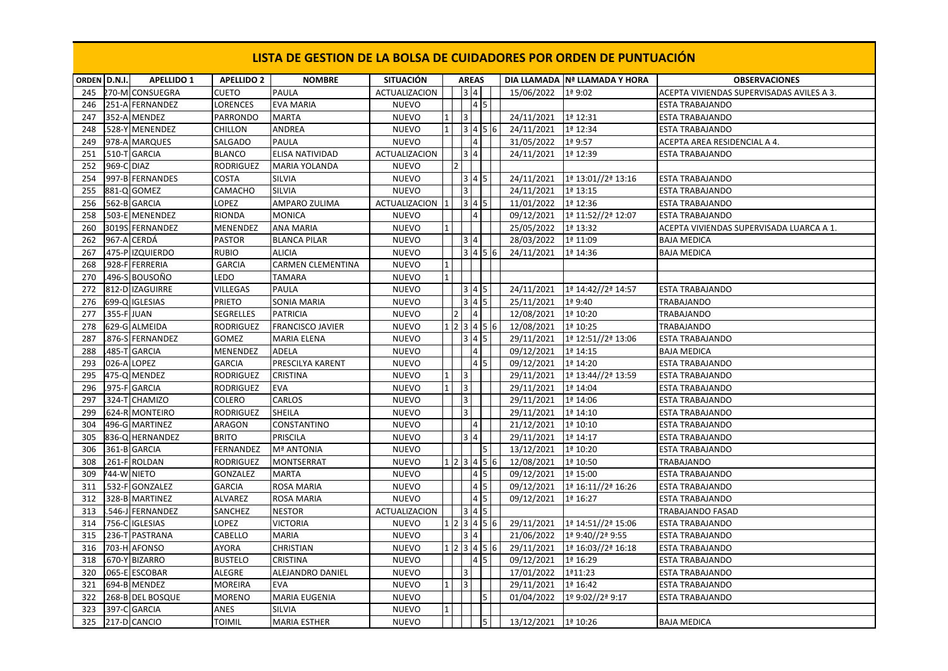| ORDEN D.N.I. |             | <b>APELLIDO 1</b>              | <b>APELLIDO 2</b>          | <b>NOMBRE</b>                         | <b>SITUACIÓN</b>                |              |                          |                     |                    |     |                          | DIA LLAMADA Nª LLAMADA Y HORA | <b>OBSERVACIONES</b>                             |
|--------------|-------------|--------------------------------|----------------------------|---------------------------------------|---------------------------------|--------------|--------------------------|---------------------|--------------------|-----|--------------------------|-------------------------------|--------------------------------------------------|
| 245          |             | 270-M CONSUEGRA                | CUETO                      | PAULA                                 | <b>ACTUALIZACION</b>            |              |                          | <b>AREAS</b><br>3 4 |                    |     | 15/06/2022               | 1ª 9:02                       | ACEPTA VIVIENDAS SUPERVISADAS AVILES A 3.        |
|              |             | 251-A FERNANDEZ                |                            |                                       | <b>NUEVO</b>                    |              |                          | $\vert 4 \vert 5$   |                    |     |                          |                               |                                                  |
| 246<br>247   |             | 352-A MENDEZ                   | LORENCES                   | <b>EVA MARIA</b><br><b>MARTA</b>      |                                 |              | l3                       |                     |                    |     |                          | 1ª 12:31                      | ESTA TRABAJANDO                                  |
| 248          |             |                                | PARRONDO<br><b>CHILLON</b> | ANDREA                                | <b>NUEVO</b><br><b>NUEVO</b>    |              |                          | $3   4   5$         |                    |     | 24/11/2021               |                               | <b>ESTA TRABAJANDO</b><br><b>ESTA TRABAJANDO</b> |
|              |             | 528-Y MENENDEZ                 |                            |                                       | <b>NUEVO</b>                    |              |                          | 4                   |                    |     | 24/11/2021               | 1ª 12:34<br>$1a$ 9:57         |                                                  |
| 249          |             | 978-A MARQUES                  | SALGADO                    | PAULA                                 |                                 |              |                          | $3\overline{4}$     |                    |     | 31/05/2022               |                               | ACEPTA AREA RESIDENCIAL A 4.                     |
| 251          |             | .510-T GARCIA                  | <b>BLANCO</b>              | ELISA NATIVIDAD                       | <b>ACTUALIZACION</b>            |              | $\overline{\phantom{0}}$ |                     |                    |     | 24/11/2021               | 1ª 12:39                      | <b>ESTA TRABAJANDO</b>                           |
| 252          | .969-C DIAZ | 997-B FERNANDES                | RODRIGUEZ<br>COSTA         | <b>MARIA YOLANDA</b><br><b>SILVIA</b> | <b>NUEVO</b><br><b>NUEVO</b>    |              |                          | 3 4 5               |                    |     |                          | 1ª 13:01//2ª 13:16            |                                                  |
| 254<br>255   |             | 881-Q GOMEZ                    | CAMACHO                    | SILVIA                                | <b>NUEVO</b>                    |              | l3                       |                     |                    |     | 24/11/2021<br>24/11/2021 | 1ª 13:15                      | <b>ESTA TRABAJANDO</b><br><b>ESTA TRABAJANDO</b> |
|              |             |                                |                            |                                       |                                 |              |                          | $3 \mid 4 \mid 5$   |                    |     |                          |                               |                                                  |
| 256<br>258   |             | 562-B GARCIA<br>503-E MENENDEZ | LOPEZ<br>RIONDA            | AMPARO ZULIMA<br><b>MONICA</b>        | ACTUALIZACION 1<br><b>NUEVO</b> |              |                          | 4                   |                    |     | 11/01/2022               | 1ª 12:36                      | <b>ESTA TRABAJANDO</b>                           |
|              |             |                                |                            |                                       |                                 |              |                          |                     |                    |     | 09/12/2021               | 1ª 11:52//2ª 12:07            | <b>ESTA TRABAJANDO</b>                           |
| 260          |             | 3019S FERNANDEZ                | MENENDEZ                   | ANA MARIA                             | <b>NUEVO</b>                    |              |                          |                     |                    |     | 25/05/2022               | 1ª 13:32                      | ACEPTA VIVIENDAS SUPERVISADA LUARCA A 1.         |
| 262          |             | 967-A CERDÁ                    | <b>PASTOR</b>              | <b>BLANCA PILAR</b>                   | <b>NUEVO</b>                    |              |                          | 3 4                 | 3   4   5   6      |     | 28/03/2022               | 1ª 11:09                      | <b>BAJA MEDICA</b>                               |
| 267          |             | 475-P IZQUIERDO                | <b>RUBIO</b>               | <b>ALICIA</b>                         | <b>NUEVO</b>                    |              |                          |                     |                    |     | 24/11/2021               | 1ª 14:36                      | <b>BAJA MEDICA</b>                               |
| 268          |             | .928-F FERRERIA                | <b>GARCIA</b>              | CARMEN CLEMENTINA                     | <b>NUEVO</b>                    |              |                          |                     |                    |     |                          |                               |                                                  |
| 270          |             | .496-S BOUSOÑO                 | LEDO                       | TAMARA                                | <b>NUEVO</b>                    |              |                          |                     |                    |     |                          |                               |                                                  |
| 272          |             | 812-D IZAGUIRRE                | VILLEGAS                   | PAULA                                 | <b>NUEVO</b>                    |              |                          | 3 4 5               |                    |     | 24/11/2021               | 1ª 14:42//2ª 14:57            | <b>ESTA TRABAJANDO</b>                           |
| 276          |             | 699-Q IGLESIAS                 | PRIETO                     | SONIA MARIA                           | <b>NUEVO</b>                    |              |                          | $345$               |                    |     | 25/11/2021               | $1a$ 9:40                     | <b>TRABAJANDO</b>                                |
| 277          |             | 355-F JUAN                     | SEGRELLES                  | <b>PATRICIA</b>                       | <b>NUEVO</b>                    |              |                          | $\overline{4}$      |                    |     | 12/08/2021               | 1ª 10:20                      | TRABAJANDO                                       |
| 278          |             | 629-G ALMEIDA                  | <b>RODRIGUEZ</b>           | <b>FRANCISCO JAVIER</b>               | <b>NUEVO</b>                    |              |                          |                     | 1 2 3 4 5 6        |     | 12/08/2021               | 1ª 10:25                      | TRABAJANDO                                       |
| 287          |             | .876-S FERNANDEZ               | GOMEZ                      | <b>MARIA ELENA</b>                    | <b>NUEVO</b>                    |              |                          | 3 4 5               |                    |     | 29/11/2021               | 1ª 12:51//2ª 13:06            | <b>ESTA TRABAJANDO</b>                           |
| 288          |             | 485-T GARCIA                   | MENENDEZ                   | ADELA                                 | <b>NUEVO</b>                    |              |                          | 4                   |                    |     | 09/12/2021               | 1ª 14:15                      | <b>BAJA MEDICA</b>                               |
| 293          |             | 026-A LOPEZ                    | GARCIA                     | PRESCILYA KARENT                      | <b>NUEVO</b>                    |              |                          | $\overline{4}$ 5    |                    |     | 09/12/2021               | 1ª 14:20                      | <b>ESTA TRABAJANDO</b>                           |
| 295          |             | 475-Q MENDEZ                   | RODRIGUEZ                  | CRISTINA                              | <b>NUEVO</b>                    | $\mathbf{1}$ | 3                        |                     |                    |     | 29/11/2021               | 1ª 13:44//2ª 13:59            | ESTA TRABAJANDO                                  |
| 296          |             | 975-F GARCIA                   | <b>RODRIGUEZ</b>           | <b>EVA</b>                            | <b>NUEVO</b>                    |              | $\vert$ <sub>3</sub>     |                     |                    |     | 29/11/2021               | 1ª 14:04                      | <b>ESTA TRABAJANDO</b>                           |
| 297          |             | 324-T CHAMIZO                  | COLERO                     | CARLOS                                | <b>NUEVO</b>                    |              | Iз                       |                     |                    |     | 29/11/2021               | 1ª 14:06                      | ESTA TRABAJANDO                                  |
| 299          |             | 624-R MONTEIRO                 | RODRIGUEZ                  | SHEILA                                | <b>NUEVO</b>                    |              | 3                        |                     |                    |     | 29/11/2021               | 1ª 14:10                      | ESTA TRABAJANDO                                  |
| 304          |             | 496-G MARTINEZ                 | ARAGON                     | CONSTANTINO                           | <b>NUEVO</b>                    |              |                          | 4                   |                    |     | 21/12/2021               | 1ª 10:10                      | <b>ESTA TRABAJANDO</b>                           |
| 305          |             | 836-Q HERNANDEZ                | <b>BRITO</b>               | <b>PRISCILA</b>                       | <b>NUEVO</b>                    |              |                          | 3 4                 |                    |     | 29/11/2021               | 1ª 14:17                      | ESTA TRABAJANDO                                  |
| 306          |             | 361-B GARCIA                   | FERNANDEZ                  | <b>Mª ANTONIA</b>                     | <b>NUEVO</b>                    |              |                          |                     | 15                 |     | 13/12/2021               | 1ª 10:20                      | ESTA TRABAJANDO                                  |
| 308          |             | 261-F ROLDAN                   | RODRIGUEZ                  | MONTSERRAT                            | <b>NUEVO</b>                    |              |                          | 1 2 3 4 5           |                    | - 6 | 12/08/2021               | 1ª 10:50                      | TRABAJANDO                                       |
| 309          |             | 744-W NIETO                    | GONZALEZ                   | <b>MARTA</b>                          | <b>NUEVO</b>                    |              |                          | 4 5                 |                    |     | 09/12/2021               | 1ª 15:00                      | <b>ESTA TRABAJANDO</b>                           |
| 311          |             | 532-F GONZALEZ                 | GARCIA                     | ROSA MARIA                            | <b>NUEVO</b>                    |              |                          | $\overline{4}$      | I5                 |     | 09/12/2021               | 1ª 16:11//2ª 16:26            | <b>ESTA TRABAJANDO</b>                           |
| 312          |             | 328-B MARTINEZ                 | ALVAREZ                    | ROSA MARIA                            | <b>NUEVO</b>                    |              |                          | 4 5                 |                    |     | 09/12/2021               | 1ª 16:27                      | <b>ESTA TRABAJANDO</b>                           |
| 313          |             | .546-J FERNANDEZ               | SANCHEZ                    | NESTOR                                | <b>ACTUALIZACION</b>            |              |                          | $3   4   5$         |                    |     |                          |                               | TRABAJANDO FASAD                                 |
| 314          |             | 756-C IGLESIAS                 | LOPEZ                      | <b>VICTORIA</b>                       | <b>NUEVO</b>                    |              |                          |                     | 1 2 3 4 5 6        |     | 29/11/2021               | 1ª 14:51//2ª 15:06            | ESTA TRABAJANDO                                  |
| 315          |             | .236-T PASTRANA                | CABELLO                    | <b>MARIA</b>                          | <b>NUEVO</b>                    |              |                          | 3 4                 |                    |     | 21/06/2022               | 1ª 9:40//2ª 9:55              | ESTA TRABAJANDO                                  |
| 316          |             | 703-H AFONSO                   | <b>AYORA</b>               | <b>CHRISTIAN</b>                      | <b>NUEVO</b>                    |              |                          |                     | $1$  2  3  4  5  6 |     | 29/11/2021               | 1ª 16:03//2ª 16:18            | ESTA TRABAJANDO                                  |
| 318          |             | .670-Y BIZARRO                 | <b>BUSTELO</b>             | CRISTINA                              | <b>NUEVO</b>                    |              |                          | $4\overline{5}$     |                    |     | 09/12/2021               | 1ª 16:29                      | <b>ESTA TRABAJANDO</b>                           |
| 320          |             | .065-E ESCOBAR                 | ALEGRE                     | ALEJANDRO DANIEL                      | <b>NUEVO</b>                    |              | l3                       |                     |                    |     | 17/01/2022               | 1ª11:23                       | <b>ESTA TRABAJANDO</b>                           |
| 321          |             | 694-B MENDEZ                   | MOREIRA                    | <b>EVA</b>                            | <b>NUEVO</b>                    |              | 3                        |                     |                    |     | 29/11/2021               | 1ª 16:42                      | <b>ESTA TRABAJANDO</b>                           |
| 322          |             | 268-B DEL BOSQUE               | <b>MORENO</b>              | MARIA EUGENIA                         | <b>NUEVO</b>                    |              |                          |                     | 15                 |     | 01/04/2022               | 1º 9:02//2ª 9:17              | <b>ESTA TRABAJANDO</b>                           |
| 323          |             | 397-C GARCIA                   | ANES                       | <b>SILVIA</b>                         | <b>NUEVO</b>                    |              |                          |                     |                    |     |                          |                               |                                                  |
| 325          |             | 217-D CANCIO                   | TOIMIL                     | MARIA ESTHER                          | <b>NUEVO</b>                    |              |                          |                     | 5                  |     | 13/12/2021 1ª 10:26      |                               | <b>BAJA MEDICA</b>                               |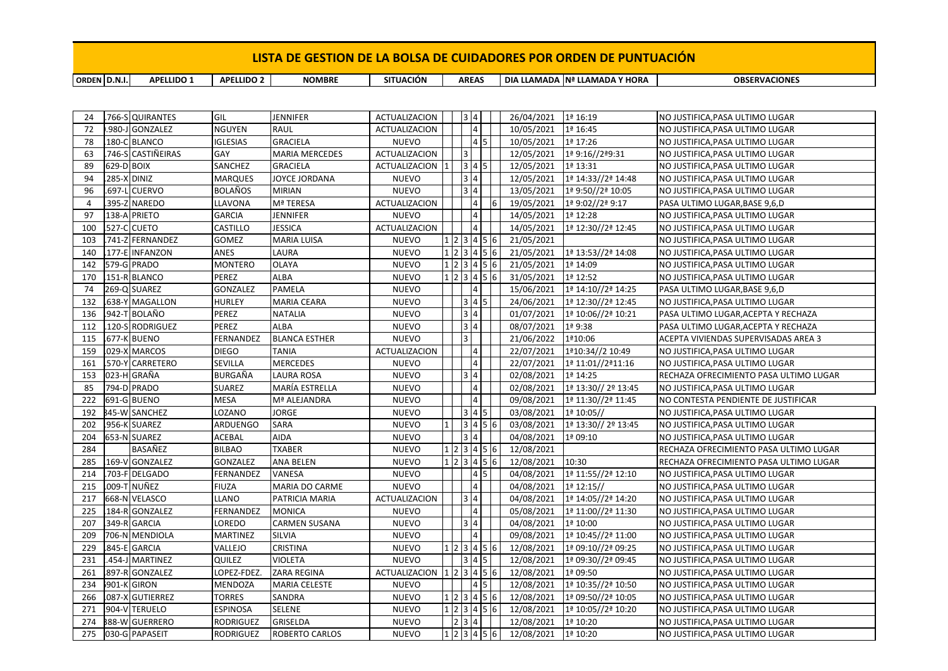**ORDEN D.N.I. APELLIDO 1 APELLIDO 2 NOMBRE SITUACIÓN DIA LLAMADA Nª LLAMADA Y HORA OBSERVACIONES AREAS** 

| 24             |             | .766-S QUIRANTES     | GIL              | JENNIFER              | ACTUALIZACION        |           |   | 3 4                    |                    | 26/04/2021 | 1ª 16:19            | NO JUSTIFICA, PASA ULTIMO LUGAR        |
|----------------|-------------|----------------------|------------------|-----------------------|----------------------|-----------|---|------------------------|--------------------|------------|---------------------|----------------------------------------|
| 72             |             | .980-J GONZALEZ      | <b>NGUYEN</b>    | RAUL                  | <b>ACTUALIZACION</b> |           |   | $\vert$ 4              |                    | 10/05/2021 | 1ª 16:45            | NO JUSTIFICA, PASA ULTIMO LUGAR        |
| 78             |             | 180-C BLANCO         | <b>IGLESIAS</b>  | <b>GRACIELA</b>       | <b>NUEVO</b>         |           |   | $\vert 4 \vert 5$      |                    | 10/05/2021 | 1ª 17:26            | NO JUSTIFICA, PASA ULTIMO LUGAR        |
| 63             |             | .746-S CASTIÑEIRAS   | GAY              | <b>MARIA MERCEDES</b> | <b>ACTUALIZACION</b> |           | 3 |                        |                    | 12/05/2021 | 1ª 9:16//2ª9:31     | NO JUSTIFICA, PASA ULTIMO LUGAR        |
| 89             | 629-D BOIX  |                      | SANCHEZ          | <b>GRACIELA</b>       | ACTUALIZACION 1      |           |   | $\sqrt{3}$ 4 5         |                    | 12/05/2021 | 1ª 13:31            | NO JUSTIFICA, PASA ULTIMO LUGAR        |
| 94             | 285-X DINIZ |                      | <b>MARQUES</b>   | JOYCE JORDANA         | <b>NUEVO</b>         |           |   | 3 4                    |                    | 12/05/2021 | 1ª 14:33//2ª 14:48  | NO JUSTIFICA, PASA ULTIMO LUGAR        |
| 96             |             | .697-L CUERVO        | <b>BOLAÑOS</b>   | <b>MIRIAN</b>         | <b>NUEVO</b>         |           |   | 3 4                    |                    | 13/05/2021 | 1ª 9:50//2ª 10:05   | NO JUSTIFICA, PASA ULTIMO LUGAR        |
| $\overline{4}$ |             | .395-Z NAREDO        | LLAVONA          | Mª TERESA             | <b>ACTUALIZACION</b> |           |   | $\overline{4}$         |                    | 19/05/2021 | 1ª 9:02//2ª 9:17    | PASA ULTIMO LUGAR, BASE 9,6, D         |
| 97             |             | 138-A PRIETO         | <b>GARCIA</b>    | <b>JENNIFER</b>       | <b>NUEVO</b>         |           |   | $\overline{4}$         |                    | 14/05/2021 | 1ª 12:28            | NO JUSTIFICA, PASA ULTIMO LUGAR        |
| 100            |             | 527-C CUETO          | CASTILLO         | JESSICA               | <b>ACTUALIZACION</b> |           |   | $\sqrt{4}$             |                    | 14/05/2021 | 1ª 12:30//2ª 12:45  | NO JUSTIFICA, PASA ULTIMO LUGAR        |
| 103            |             | .741-Z FERNANDEZ     | GOMEZ            | <b>MARIA LUISA</b>    | <b>NUEVO</b>         |           |   |                        | 1 2 3 4 5 6        | 21/05/2021 |                     | NO JUSTIFICA, PASA ULTIMO LUGAR        |
| 140            |             | .177-E INFANZON      | ANES             | LAURA                 | <b>NUEVO</b>         |           |   |                        | 1 2 3 4 5 6        | 21/05/2021 | 1ª 13:53//2ª 14:08  | NO JUSTIFICA, PASA ULTIMO LUGAR        |
| 142            |             | 579-G PRADO          | <b>MONTERO</b>   | OLAYA                 | <b>NUEVO</b>         |           |   |                        | $1$  2  3  4  5  6 | 21/05/2021 | 1ª 14:09            | NO JUSTIFICA, PASA ULTIMO LUGAR        |
| 170            |             | 151-R BLANCO         | PEREZ            | ALBA                  | <b>NUEVO</b>         | 1 2 3 4 5 |   |                        | 6                  | 31/05/2021 | 1ª 12:52            | NO JUSTIFICA, PASA ULTIMO LUGAR        |
| 74             |             | 269-Q SUAREZ         | GONZALEZ         | PAMELA                | <b>NUEVO</b>         |           |   | $\overline{4}$         |                    | 15/06/2021 | 1ª 14:10//2ª 14:25  | PASA ULTIMO LUGAR, BASE 9,6,D          |
| 132            |             | .638-Y MAGALLON      | <b>HURLEY</b>    | <b>MARIA CEARA</b>    | <b>NUEVO</b>         |           |   | $345$                  |                    | 24/06/2021 | 1ª 12:30//2ª 12:45  | NO JUSTIFICA, PASA ULTIMO LUGAR        |
| 136            |             | .942-T BOLAÑO        | PEREZ            | <b>NATALIA</b>        | <b>NUEVO</b>         |           |   | 3 4                    |                    | 01/07/2021 | 1ª 10:06//2ª 10:21  | PASA ULTIMO LUGAR, ACEPTA Y RECHAZA    |
| 112            |             | .120-S RODRIGUEZ     | PEREZ            | ALBA                  | <b>NUEVO</b>         |           |   | 3 4                    |                    | 08/07/2021 | $1a$ 9:38           | PASA ULTIMO LUGAR, ACEPTA Y RECHAZA    |
| 115            |             | 677-K BUENO          | FERNANDEZ        | <b>BLANCA ESTHER</b>  | <b>NUEVO</b>         |           | 3 |                        |                    | 21/06/2022 | 1ª10:06             | ACEPTA VIVIENDAS SUPERVISADAS AREA 3   |
| 159            |             | .029-X MARCOS        | <b>DIEGO</b>     | TANIA                 | <b>ACTUALIZACION</b> |           |   | 4                      |                    | 22/07/2021 | 1ª10:34//2 10:49    | NO JUSTIFICA, PASA ULTIMO LUGAR        |
| 161            |             | 570-Y CARRETERO      | SEVILLA          | <b>MERCEDES</b>       | <b>NUEVO</b>         |           |   | $\overline{4}$         |                    | 22/07/2021 | 1ª 11:01//2ª11:16   | NO JUSTIFICA, PASA ULTIMO LUGAR        |
| 153            |             | 023-H GRAÑA          | BURGAÑA          | <b>LAURA ROSA</b>     | <b>NUEVO</b>         |           |   | 3 4                    |                    | 02/08/2021 | 1ª 14:25            | RECHAZA OFRECIMIENTO PASA ULTIMO LUGAR |
| 85             |             | 794-D PRADO          | <b>SUAREZ</b>    | MARÍA ESTRELLA        | <b>NUEVO</b>         |           |   | $\overline{4}$         |                    | 02/08/2021 | 1ª 13:30// 2º 13:45 | NO JUSTIFICA, PASA ULTIMO LUGAR        |
| 222            |             | 691-G BUENO          | MESA             | Mª ALEJANDRA          | <b>NUEVO</b>         |           |   | $\overline{4}$         |                    | 09/08/2021 | 1ª 11:30//2ª 11:45  | NO CONTESTA PENDIENTE DE JUSTIFICAR    |
| 192            |             | <b>345-W SANCHEZ</b> | LOZANO           | JORGE                 | <b>NUEVO</b>         |           |   | $3  4  5$              |                    | 03/08/2021 | $1a$ 10:05//        | NO JUSTIFICA, PASA ULTIMO LUGAR        |
| 202            |             | 956-K SUAREZ         | ARDUENGO         | SARA                  | <b>NUEVO</b>         |           |   |                        | $3 \ 4 \ 5 \ 6$    | 03/08/2021 | 1ª 13:30// 2º 13:45 | NO JUSTIFICA, PASA ULTIMO LUGAR        |
| 204            |             | 653-N SUAREZ         | <b>ACEBAL</b>    | AIDA                  | <b>NUEVO</b>         |           |   | $\overline{3}$  4      |                    | 04/08/2021 | 1ª 09:10            | NO JUSTIFICA, PASA ULTIMO LUGAR        |
| 284            |             | BASAÑEZ              | <b>BILBAO</b>    | TXABER                | <b>NUEVO</b>         |           |   |                        | $1$  2  3  4  5  6 | 12/08/2021 |                     | RECHAZA OFRECIMIENTO PASA ULTIMO LUGAR |
| 285            |             | 169-V GONZALEZ       | <b>GONZALEZ</b>  | ANA BELEN             | <b>NUEVO</b>         | 1 2 3 4 5 |   |                        | 6                  | 12/08/2021 | 10:30               | RECHAZA OFRECIMIENTO PASA ULTIMO LUGAR |
| 214            |             | .703-F DELGADO       | FERNANDEZ        | VANESA                | <b>NUEVO</b>         |           |   | 4 5                    |                    | 04/08/2021 | 1ª 11:55//2ª 12:10  | NO JUSTIFICA, PASA ULTIMO LUGAR        |
| 215            |             | .009-T NUÑEZ         | <b>FIUZA</b>     | MARIA DO CARME        | <b>NUEVO</b>         |           |   | $\overline{4}$         |                    | 04/08/2021 | 1ª 12:15//          | NO JUSTIFICA, PASA ULTIMO LUGAR        |
| 217            |             | 668-N VELASCO        | LLANO            | PATRICIA MARIA        | <b>ACTUALIZACION</b> |           |   | 3 4                    |                    | 04/08/2021 | 1ª 14:05//2ª 14:20  | NO JUSTIFICA, PASA ULTIMO LUGAR        |
| 225            |             | 184-R GONZALEZ       | FERNANDEZ        | <b>MONICA</b>         | <b>NUEVO</b>         |           |   | $\sqrt{4}$             |                    | 05/08/2021 | 1ª 11:00//2ª 11:30  | NO JUSTIFICA, PASA ULTIMO LUGAR        |
| 207            |             | 349-R GARCIA         | LOREDO           | <b>CARMEN SUSANA</b>  | <b>NUEVO</b>         |           |   | 3 4                    |                    | 04/08/2021 | 1ª 10:00            | NO JUSTIFICA, PASA ULTIMO LUGAR        |
| 209            |             | 706-N MENDIOLA       | <b>MARTINEZ</b>  | <b>SILVIA</b>         | <b>NUEVO</b>         |           |   | $\vert$ 4              |                    | 09/08/2021 | 1ª 10:45//2ª 11:00  | NO JUSTIFICA, PASA ULTIMO LUGAR        |
| 229            |             | 845-E GARCIA         | VALLEJO          | CRISTINA              | <b>NUEVO</b>         |           |   |                        | 1 2 3 4 5 6        | 12/08/2021 | 1ª 09:10//2ª 09:25  | NO JUSTIFICA, PASA ULTIMO LUGAR        |
| 231            |             | 454-J MARTINEZ       | QUILEZ           | <b>VIOLETA</b>        | <b>NUEVO</b>         |           |   | $345$                  |                    | 12/08/2021 | 1ª 09:30//2ª 09:45  | NO JUSTIFICA, PASA ULTIMO LUGAR        |
| 261            |             | 897-R GONZALEZ       | LOPEZ-FDEZ.      | ZARA REGINA           | ACTUALIZACION        |           |   |                        | 123456             | 12/08/2021 | 1ª 09:50            | NO JUSTIFICA, PASA ULTIMO LUGAR        |
| 234            |             | <b>901-K GIRON</b>   | MENDOZA          | <b>MARIA CELESTE</b>  | <b>NUEVO</b>         |           |   | $4\overline{5}$        |                    | 12/08/2021 | 1ª 10:35//2ª 10:50  | NO JUSTIFICA, PASA ULTIMO LUGAR        |
| 266            |             | 087-X GUTIERREZ      | <b>TORRES</b>    | SANDRA                | <b>NUEVO</b>         |           |   |                        | 1 2 3 4 5 6        | 12/08/2021 | 1ª 09:50//2ª 10:05  | NO JUSTIFICA, PASA ULTIMO LUGAR        |
| 271            |             | 904-V TERUELO        | <b>ESPINOSA</b>  | SELENE                | <b>NUEVO</b>         |           |   |                        | 1 2 3 4 5 6        | 12/08/2021 | 1ª 10:05//2ª 10:20  | NO JUSTIFICA, PASA ULTIMO LUGAR        |
| 274            |             | 388-W GUERRERO       | RODRIGUEZ        | GRISELDA              | <b>NUEVO</b>         |           |   | $2 \mid 3 \mid 4 \mid$ |                    | 12/08/2021 | 1ª 10:20            | NO JUSTIFICA, PASA ULTIMO LUGAR        |
| 275            |             | 030-G PAPASEIT       | <b>RODRIGUEZ</b> | <b>ROBERTO CARLOS</b> | <b>NUEVO</b>         |           |   |                        | $1$ 2 3 4 5 6      | 12/08/2021 | 1ª 10:20            | NO JUSTIFICA, PASA ULTIMO LUGAR        |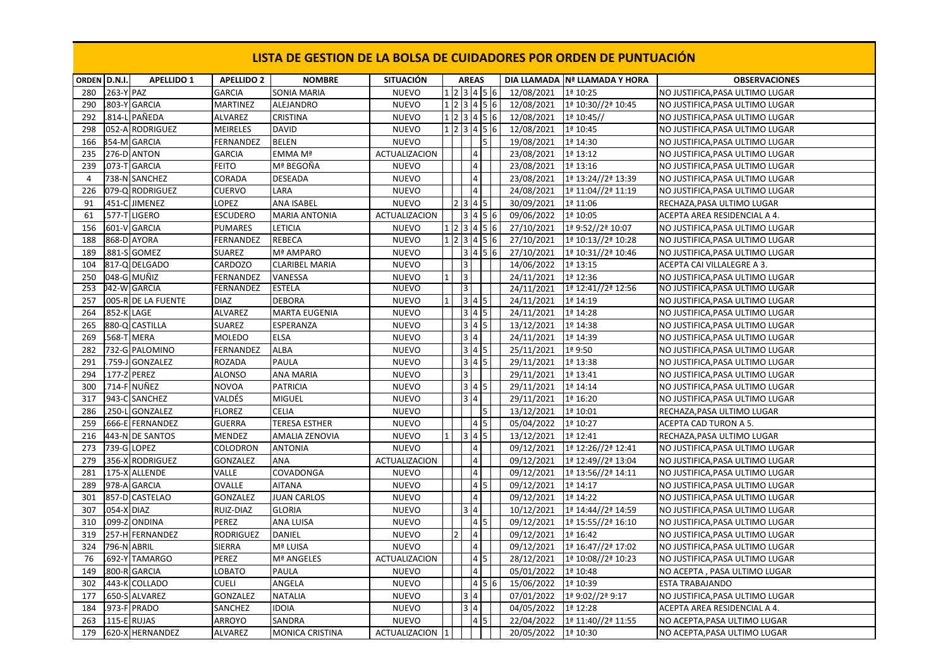| ORDEN D.N.I.   |                   | <b>APELLIDO 1</b>   | <b>APELLIDO 2</b> | <b>NOMBRE</b>          | <b>SITUACIÓN</b>     |      | <b>AREAS</b>            |                    |                     | DIA LLAMADA Nª LLAMADA Y HORA | <b>OBSERVACIONES</b>            |
|----------------|-------------------|---------------------|-------------------|------------------------|----------------------|------|-------------------------|--------------------|---------------------|-------------------------------|---------------------------------|
| 280            | .263-Y PAZ        |                     | <b>GARCIA</b>     | SONIA MARIA            | <b>NUEVO</b>         |      |                         | 1 2 3 4 5 6        | 12/08/2021          | 1ª 10:25                      | NO JUSTIFICA, PASA ULTIMO LUGAR |
| 290            |                   | .803-Y GARCIA       | <b>MARTINEZ</b>   | <b>ALEJANDRO</b>       | <b>NUEVO</b>         |      |                         | 123456             | 12/08/2021          | 1ª 10:30//2ª 10:45            | NO JUSTIFICA, PASA ULTIMO LUGAR |
| 292            |                   | .814-L PAÑEDA       | <b>ALVAREZ</b>    | <b>CRISTINA</b>        | <b>NUEVO</b>         |      |                         | 123456             | 12/08/2021          | 1ª 10:45//                    | NO JUSTIFICA,PASA ULTIMO LUGAR  |
| 298            |                   | 052-A RODRIGUEZ     | <b>MEIRELES</b>   | <b>DAVID</b>           | <b>NUEVO</b>         |      |                         | $1$  2  3  4  5  6 | 12/08/2021          | 1ª 10:45                      | NO JUSTIFICA, PASA ULTIMO LUGAR |
| 166            |                   | <b>354-M GARCIA</b> | FERNANDEZ         | <b>BELEN</b>           | <b>NUEVO</b>         |      |                         | $\overline{5}$     | 19/08/2021          | 1ª 14:30                      | NO JUSTIFICA, PASA ULTIMO LUGAR |
| 235            |                   | 276-D ANTON         | <b>GARCIA</b>     | EMMA Mª                | ACTUALIZACION        |      | $\overline{\mathbf{4}}$ |                    | 23/08/2021          | 1ª 13:12                      | NO JUSTIFICA, PASA ULTIMO LUGAR |
| 239            |                   | .073-T GARCIA       | <b>FEITO</b>      | Mª BEGOÑA              | <b>NUEVO</b>         |      | $\sqrt{4}$              |                    | 23/08/2021          | 1ª 13:16                      | NO JUSTIFICA, PASA ULTIMO LUGAR |
| $\overline{4}$ |                   | 738-N SANCHEZ       | CORADA            | <b>DESEADA</b>         | <b>NUEVO</b>         |      | $\overline{4}$          |                    | 23/08/2021          | 1ª 13:24//2ª 13:39            | NO JUSTIFICA, PASA ULTIMO LUGAR |
| 226            |                   | 079-Q RODRIGUEZ     | <b>CUERVO</b>     | LARA                   | <b>NUEVO</b>         |      | $\overline{4}$          |                    | 24/08/2021          | 1ª 11:04//2ª 11:19            | NO JUSTIFICA, PASA ULTIMO LUGAR |
| 91             |                   | 451-C JIMENEZ       | LOPEZ             | <b>ANA ISABEL</b>      | <b>NUEVO</b>         | 2345 |                         |                    | 30/09/2021          | 1ª 11:06                      | RECHAZA, PASA ULTIMO LUGAR      |
| 61             |                   | .577-T LIGERO       | <b>ESCUDERO</b>   | <b>MARIA ANTONIA</b>   | <b>ACTUALIZACION</b> |      |                         | 3   4   5   6      | 09/06/2022          | 1ª 10:05                      | ACEPTA AREA RESIDENCIAL A 4.    |
| 156            |                   | 601-V GARCIA        | <b>PUMARES</b>    | <b>LETICIA</b>         | <b>NUEVO</b>         |      |                         | $1$  2  3  4  5  6 | 27/10/2021          | 1ª 9:52//2ª 10:07             | NO JUSTIFICA, PASA ULTIMO LUGAR |
| 188            |                   | 868-D AYORA         | FERNANDEZ         | <b>REBECA</b>          | <b>NUEVO</b>         |      |                         | 1 2 3 4 5 6        | 27/10/2021          | 1ª 10:13//2ª 10:28            | NO JUSTIFICA, PASA ULTIMO LUGAR |
| 189            |                   | .881-S GOMEZ        | SUAREZ            | Mª AMPARO              | <b>NUEVO</b>         |      |                         | 3   4   5   6      | 27/10/2021          | 1ª 10:31//2ª 10:46            | NO JUSTIFICA, PASA ULTIMO LUGAR |
| 104            |                   | 817-Q DELGADO       | CARDOZO           | <b>CLARIBEL MARIA</b>  | <b>NUEVO</b>         | Iз   |                         |                    | 14/06/2022          | 1ª 13:15                      | ACEPTA CAI VILLALEGRE A 3.      |
| 250            |                   | 048-G MUÑIZ         | <b>FERNANDEZ</b>  | VANESSA                | <b>NUEVO</b>         | 3    |                         |                    | 24/11/2021          | 1ª 12:36                      | NO JUSTIFICA.PASA ULTIMO LUGAR  |
| 253            |                   | 042-W GARCIA        | FERNANDEZ         | <b>ESTELA</b>          | <b>NUEVO</b>         | 13   |                         |                    | 24/11/2021          | 1ª 12:41//2ª 12:56            | NO JUSTIFICA, PASA ULTIMO LUGAR |
| 257            |                   | 005-R DE LA FUENTE  | <b>DIAZ</b>       | <b>DEBORA</b>          | <b>NUEVO</b>         |      | $3 \mid 4 \mid 5$       |                    | 24/11/2021          | 1ª 14:19                      | NO JUSTIFICA, PASA ULTIMO LUGAR |
| 264            | <b>852-K LAGE</b> |                     | ALVAREZ           | <b>MARTA EUGENIA</b>   | <b>NUEVO</b>         |      | 3   4   5               |                    | 24/11/2021          | 1ª 14:28                      | NO JUSTIFICA, PASA ULTIMO LUGAR |
| 265            |                   | 880-Q CASTILLA      | <b>SUAREZ</b>     | ESPERANZA              | <b>NUEVO</b>         |      | $3 4 5$                 |                    | 13/12/2021          | 1º 14:38                      | NO JUSTIFICA, PASA ULTIMO LUGAR |
| 269            | .568-T MERA       |                     | MOLEDO            | <b>ELSA</b>            | <b>NUEVO</b>         |      | 3 4                     |                    | 24/11/2021          | 1ª 14:39                      | NO JUSTIFICA, PASA ULTIMO LUGAR |
| 282            |                   | 732-G PALOMINO      | <b>FERNANDEZ</b>  | <b>ALBA</b>            | <b>NUEVO</b>         |      | $3   4   5$             |                    | 25/11/2021          | 1ª 9:50                       | NO JUSTIFICA, PASA ULTIMO LUGAR |
| 291            |                   | 759-J GONZALEZ      | ROZADA            | <b>PAULA</b>           | <b>NUEVO</b>         |      | 3   4   5               |                    | 29/11/2021          | 1ª 13:38                      | NO JUSTIFICA, PASA ULTIMO LUGAR |
| 294            | .177-Z PEREZ      |                     | ALONSO            | <b>ANA MARIA</b>       | <b>NUEVO</b>         | Iз   |                         |                    | 29/11/2021          | 1ª 13:41                      | NO JUSTIFICA,PASA ULTIMO LUGAR  |
| 300            |                   | .714-F NUÑEZ        | <b>NOVOA</b>      | <b>PATRICIA</b>        | <b>NUEVO</b>         |      | $3 \mid 4 \mid 5$       |                    | 29/11/2021          | 1ª 14:14                      | NO JUSTIFICA, PASA ULTIMO LUGAR |
| 317            |                   | 943-C SANCHEZ       | VALDÉS            | <b>MIGUEL</b>          | <b>NUEVO</b>         |      | 3 4                     |                    | 29/11/2021          | 1ª 16:20                      | NO JUSTIFICA, PASA ULTIMO LUGAR |
| 286            |                   | .250-L GONZALEZ     | <b>FLOREZ</b>     | <b>CELIA</b>           | <b>NUEVO</b>         |      |                         | 5                  | 13/12/2021          | 1ª 10:01                      | RECHAZA, PASA ULTIMO LUGAR      |
| 259            |                   | .666-E FERNANDEZ    | <b>GUERRA</b>     | <b>TERESA ESTHER</b>   | <b>NUEVO</b>         |      | $4\overline{5}$         |                    | 05/04/2022          | 1ª 10:27                      | ACEPTA CAD TURON A 5.           |
| 216            |                   | 443-N DE SANTOS     | MENDEZ            | <b>AMALIA ZENOVIA</b>  | <b>NUEVO</b>         |      | $3 \mid 4 \mid 5$       |                    | 13/12/2021          | 1ª 12:41                      | RECHAZA, PASA ULTIMO LUGAR      |
| 273            |                   | 739-G LOPEZ         | COLODRON          | <b>ANTONIA</b>         | <b>NUEVO</b>         |      | $\overline{4}$          |                    | 09/12/2021          | 1ª 12:26//2ª 12:41            | NO JUSTIFICA, PASA ULTIMO LUGAR |
| 279            |                   | 356-X RODRIGUEZ     | GONZALEZ          | ANA                    | ACTUALIZACION        |      | $\overline{\mathbf{4}}$ |                    | 09/12/2021          | 1ª 12:49//2ª 13:04            | NO JUSTIFICA, PASA ULTIMO LUGAR |
| 281            |                   | 175-X ALLENDE       | VALLE             | COVADONGA              | <b>NUEVO</b>         |      | $\overline{4}$          |                    | 09/12/2021          | 1ª 13:56//2ª 14:11            | NO JUSTIFICA, PASA ULTIMO LUGAR |
| 289            | 978-A             | <b>GARCIA</b>       | <b>OVALLE</b>     | <b>AITANA</b>          | <b>NUEVO</b>         |      | $4\overline{5}$         |                    | 09/12/2021          | 1ª 14:17                      | NO JUSTIFICA, PASA ULTIMO LUGAR |
| 301            |                   | 857-D CASTELAO      | GONZALEZ          | <b>JUAN CARLOS</b>     | <b>NUEVO</b>         |      | 4                       |                    | 09/12/2021          | 1ª 14:22                      | NO JUSTIFICA, PASA ULTIMO LUGAR |
| 307            | <b>054-X DIAZ</b> |                     | RUIZ-DIAZ         | <b>GLORIA</b>          | <b>NUEVO</b>         |      | 3 4                     |                    | 10/12/2021          | 1ª 14:44//2ª 14:59            | NO JUSTIFICA, PASA ULTIMO LUGAR |
| 310            |                   | .099-Z ONDINA       | PEREZ             | ANA LUISA              | <b>NUEVO</b>         |      | $4\overline{5}$         |                    | 09/12/2021          | 1ª 15:55//2ª 16:10            | NO JUSTIFICA, PASA ULTIMO LUGAR |
| 319            |                   | 257-H FERNANDEZ     | <b>RODRIGUEZ</b>  | <b>DANIEL</b>          | <b>NUEVO</b>         |      | $ 4\rangle$             |                    | 09/12/2021          | 1ª 16:42                      | NO JUSTIFICA, PASA ULTIMO LUGAR |
| 324            | 796-N ABRIL       |                     | SIERRA            | Mª LUISA               | <b>NUEVO</b>         |      | $\overline{4}$          |                    | 09/12/2021          | 1ª 16:47//2ª 17:02            | NO JUSTIFICA, PASA ULTIMO LUGAR |
| 76             | $.692-Y$          | <b>TAMARGO</b>      | PEREZ             | Mª ANGELES             | <b>ACTUALIZACION</b> |      | 4                       | 5                  | 28/12/2021          | 1ª 10:08//2ª 10:23            | NO JUSTIFICA, PASA ULTIMO LUGAR |
| 149            |                   | 800-R GARCIA        | LOBATO            | PAULA                  | <b>NUEVO</b>         |      | 4                       |                    | 05/01/2022          | 1ª 10:48                      | NO ACEPTA , PASA ULTIMO LUGAR   |
| 302            |                   | 443-K COLLADO       | <b>CUELI</b>      | ANGELA                 | <b>NUEVO</b>         |      |                         | 456                | 15/06/2022          | 1ª 10:39                      | ESTA TRABAJANDO                 |
| 177            |                   | .650-S ALVAREZ      | GONZALEZ          | <b>NATALIA</b>         | <b>NUEVO</b>         |      | 3 4                     |                    | 07/01/2022          | 1ª 9:02//2ª 9:17              | NO JUSTIFICA, PASA ULTIMO LUGAR |
| 184            |                   | .973-F PRADO        | SANCHEZ           | <b>IDOIA</b>           | <b>NUEVO</b>         |      | 3 4                     |                    | 04/05/2022          | 1ª 12:28                      | ACEPTA AREA RESIDENCIAL A 4.    |
| 263            |                   | 115-E RUJAS         | ARROYO            | SANDRA                 | <b>NUEVO</b>         |      | $4 \overline{5}$        |                    | 22/04/2022          | 1ª 11:40//2ª 11:55            | NO ACEPTA, PASA ULTIMO LUGAR    |
| 179            |                   | 620-X HERNANDEZ     | <b>ALVAREZ</b>    | <b>MONICA CRISTINA</b> | ACTUALIZACION 1      |      |                         |                    | 20/05/2022 1ª 10:30 |                               | NO ACEPTA, PASA ULTIMO LUGAR    |